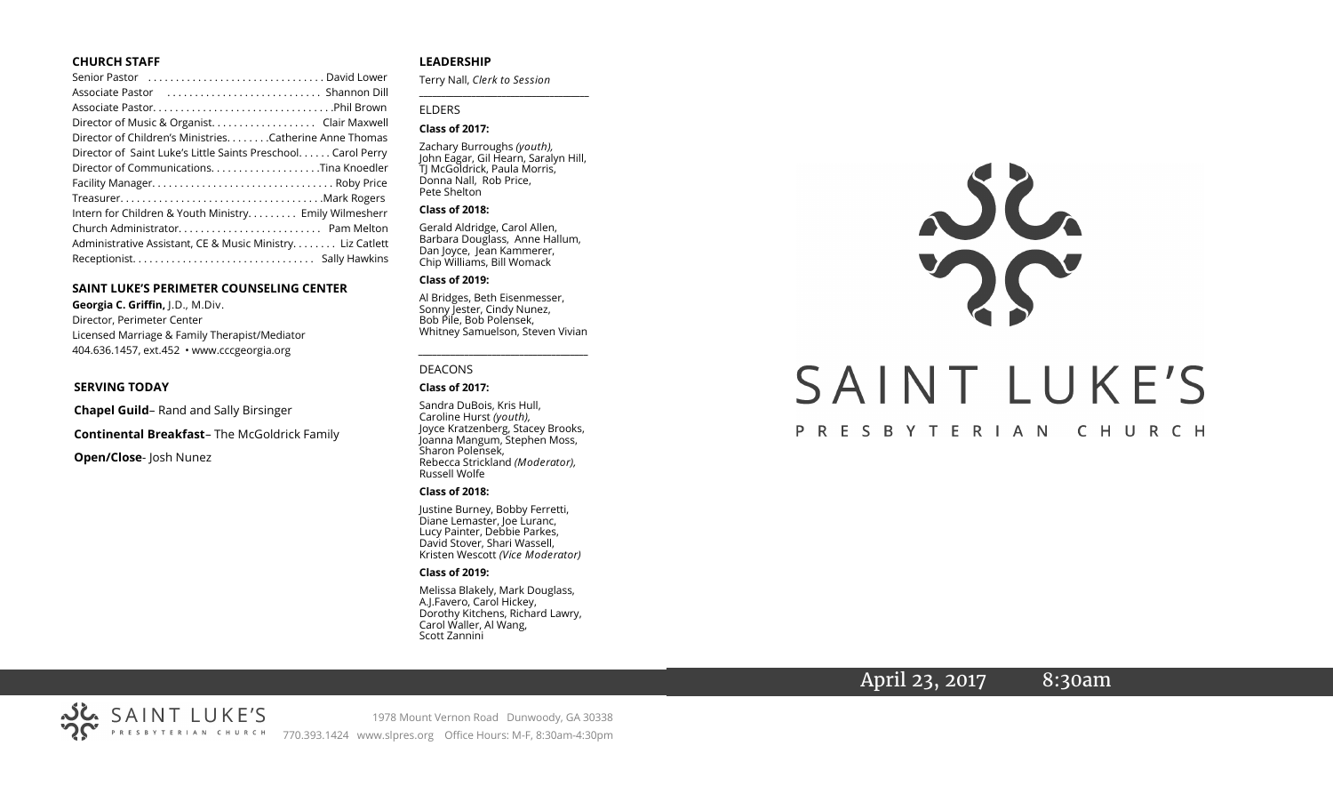#### **CHURCH STAFF**

| Senior Pastor (all contained all contained all contact senior Pastor (all contact senior Senior David Lower |
|-------------------------------------------------------------------------------------------------------------|
|                                                                                                             |
|                                                                                                             |
| Director of Music & Organist. Clair Maxwell                                                                 |
| Director of Children's Ministries. Catherine Anne Thomas                                                    |
| Director of Saint Luke's Little Saints Preschool Carol Perry                                                |
| Director of CommunicationsTina Knoedler                                                                     |
|                                                                                                             |
|                                                                                                             |
| Intern for Children & Youth Ministry Emily Wilmesherr                                                       |
|                                                                                                             |
| Administrative Assistant, CE & Music Ministry Liz Catlett                                                   |
|                                                                                                             |

#### **SAINT LUKE'S PERIMETER COUNSELING CENTER**

**Georgia C. Griffin,** J.D., M.Div. Director, Perimeter Center Licensed Marriage & Family Therapist/Mediator 404.636.1457, ext.452 • www.cccgeorgia.org

#### **SERVING TODAY**

**Chapel Guild**– Rand and Sally Birsinger

**Continental Breakfast**– The McGoldrick Family

**Open/Close**- Josh Nunez

#### **LEADERSHIP**

Terry Nall, *Clerk to Session*  **\_\_\_\_\_\_\_\_\_\_\_\_\_\_\_\_\_\_\_\_\_\_\_\_\_\_\_\_\_\_\_\_\_\_\_\_\_\_\_**

#### ELDERS

#### **Class of 2017:**

Zachary Burroughs *(youth),*  John Eagar, Gil Hearn, Saralyn Hill, TJ McGoldrick, Paula Morris, Donna Nall, Rob Price, Pete Shelton

#### **Class of 2018:**

Gerald Aldridge, Carol Allen, Barbara Douglass, Anne Hallum, Dan Joyce, Jean Kammerer, Chip Williams, Bill Womack

#### **Class of 2019:**

Al Bridges, Beth Eisenmesser, Sonny Jester, Cindy Nunez, Bob Pile, Bob Polensek, Whitney Samuelson, Steven Vivian

*\_\_\_\_\_\_\_\_\_\_\_\_\_\_\_\_\_\_\_\_\_\_\_\_\_\_\_\_\_\_\_\_\_\_\_\_\_*

#### DEACONS

#### **Class of 2017:**

Sandra DuBois, Kris Hull, Caroline Hurst *(youth),* Joyce Kratzenberg, Stacey Brooks, Joanna Mangum, Stephen Moss, Sharon Polensek, Rebecca Strickland *(Moderator),*  Russell Wolfe

#### **Class of 2018:**

Justine Burney, Bobby Ferretti, Diane Lemaster, Joe Luranc, Lucy Painter, Debbie Parkes, David Stover, Shari Wassell, Kristen Wescott *(Vice Moderator)*

#### **Class of 2019:**

Melissa Blakely, Mark Douglass, A.J.Favero, Carol Hickey, Dorothy Kitchens, Richard Lawry, Carol Waller, Al Wang, Scott Zannini



# April 23, 2017 8:30am

1978 Mount Vernon Road Dunwoody, GA 30338 770.393.1424 www.slpres.org Office Hours: M-F, 8:30am-4:30pm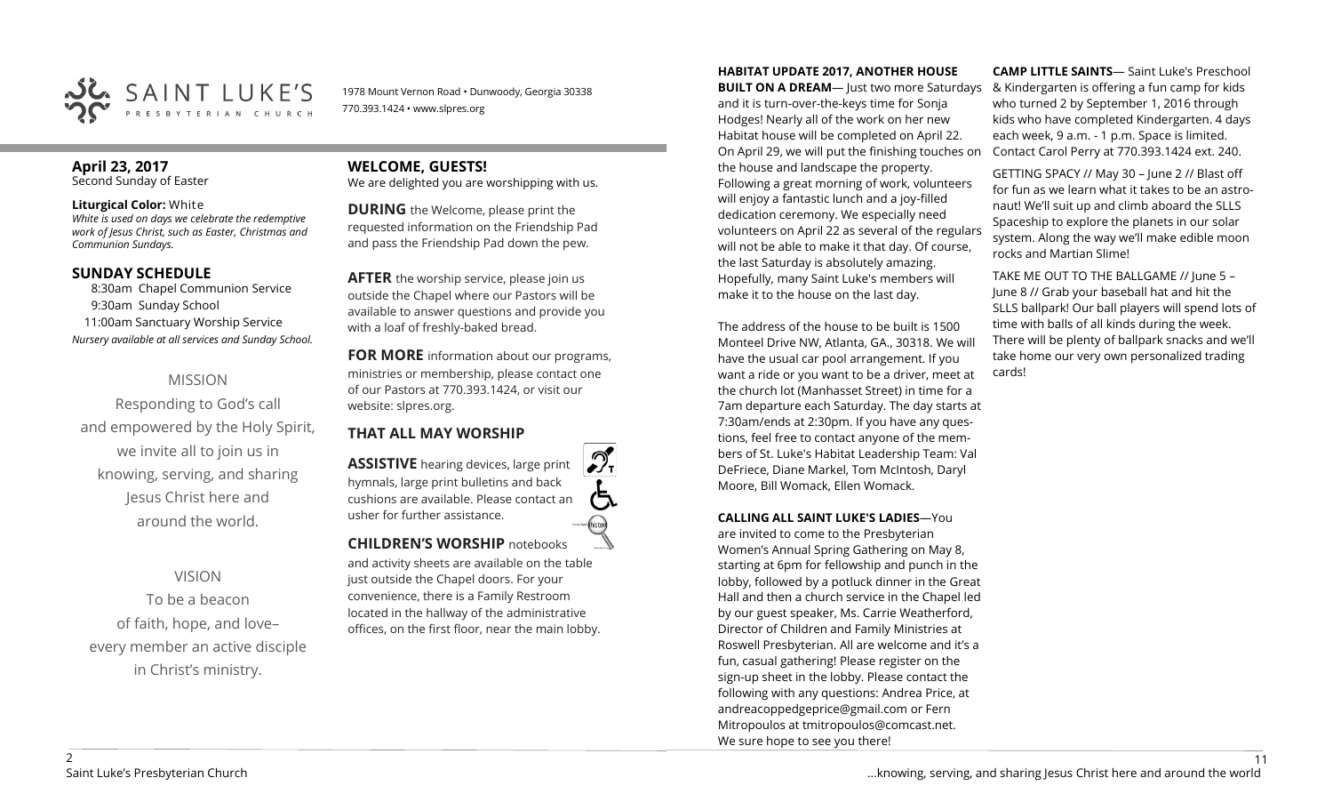

1978 Mount Vernon Road • Dunwoody, Georgia 30338 770.393.1424 • www.slpres.org

## **April 23, 2017**

Second Sunday of Easter

#### **Liturgical Color:** White

*White is used on days we celebrate the redemptive work of Jesus Christ, such as Easter, Christmas and Communion Sundays.*

#### **SUNDAY SCHEDULE**

8:30am Chapel Communion Service 9:30am Sunday School 11:00am Sanctuary Worship Service *Nursery available at all services and Sunday School.*

## MISSION

Responding to God's call and empowered by the Holy Spirit, we invite all to join us in knowing, serving, and sharing Jesus Christ here and around the world.

## VISION

To be a beacon of faith, hope, and love– every member an active disciple in Christ's ministry.

# **WELCOME, GUESTS!**

We are delighted you are worshipping with us.

**DURING** the Welcome, please print the requested information on the Friendship Pad and pass the Friendship Pad down the pew.

**AFTER** the worship service, please join us outside the Chapel where our Pastors will be available to answer questions and provide you with a loaf of freshly-baked bread.

**FOR MORE** information about our programs, ministries or membership, please contact one of our Pastors at 770.393.1424, or visit our website: slpres.org.

## **THAT ALL MAY WORSHIP**

**ASSISTIVE** hearing devices, large print hymnals, large print bulletins and back cushions are available. Please contact an usher for further assistance. histext **CHILDREN'S WORSHIP** notebooks

and activity sheets are available on the table just outside the Chapel doors. For your convenience, there is a Family Restroom located in the hallway of the administrative offices, on the first floor, near the main lobby.

#### **HABITAT UPDATE 2017, ANOTHER HOUSE**

**BUILT ON A DREAM**— Just two more Saturdays and it is turn-over-the-keys time for Sonja Hodges! Nearly all of the work on her new Habitat house will be completed on April 22. On April 29, we will put the finishing touches on the house and landscape the property. Following a great morning of work, volunteers will enjoy a fantastic lunch and a joy-filled dedication ceremony. We especially need volunteers on April 22 as several of the regulars will not be able to make it that day. Of course, the last Saturday is absolutely amazing. Hopefully, many Saint Luke's members will make it to the house on the last day.

The address of the house to be built is 1500 Monteel Drive NW, Atlanta, GA., 30318. We will have the usual car pool arrangement. If you want a ride or you want to be a driver, meet at the church lot (Manhasset Street) in time for a 7am departure each Saturday. The day starts at 7:30am/ends at 2:30pm. If you have any questions, feel free to contact anyone of the members of St. Luke's Habitat Leadership Team: Val DeFriece, Diane Markel, Tom McIntosh, Daryl Moore, Bill Womack, Ellen Womack.

#### **CALLING ALL SAINT LUKE'S LADIES**—You

are invited to come to the Presbyterian Women's Annual Spring Gathering on May 8, starting at 6pm for fellowship and punch in the lobby, followed by a potluck dinner in the Great Hall and then a church service in the Chapel led by our guest speaker, Ms. Carrie Weatherford, Director of Children and Family Ministries at Roswell Presbyterian. All are welcome and it's a fun, casual gathering! Please register on the sign-up sheet in the lobby. Please contact the following with any questions: Andrea Price, at [andreacoppedgeprice@gmail.com](mailto:andreacoppedgeprice@gmail.com) or Fern Mitropoulos at tmitropoulos@comcast.net. We sure hope to see you there!

**CAMP LITTLE SAINTS**— Saint Luke's Preschool & Kindergarten is offering a fun camp for kids who turned 2 by September 1, 2016 through kids who have completed Kindergarten. 4 days each week, 9 a.m. - 1 p.m. Space is limited. Contact Carol Perry at 770.393.1424 ext. 240.

GETTING SPACY // May 30 – June 2 // Blast off for fun as we learn what it takes to be an astronaut! We'll suit up and climb aboard the SLLS Spaceship to explore the planets in our solar system. Along the way we'll make edible moon rocks and Martian Slime!

TAKE ME OUT TO THE BALLGAME // June 5 – June 8 // Grab your baseball hat and hit the SLLS ballpark! Our ball players will spend lots of time with balls of all kinds during the week. There will be plenty of ballpark snacks and we'll take home our very own personalized trading cards!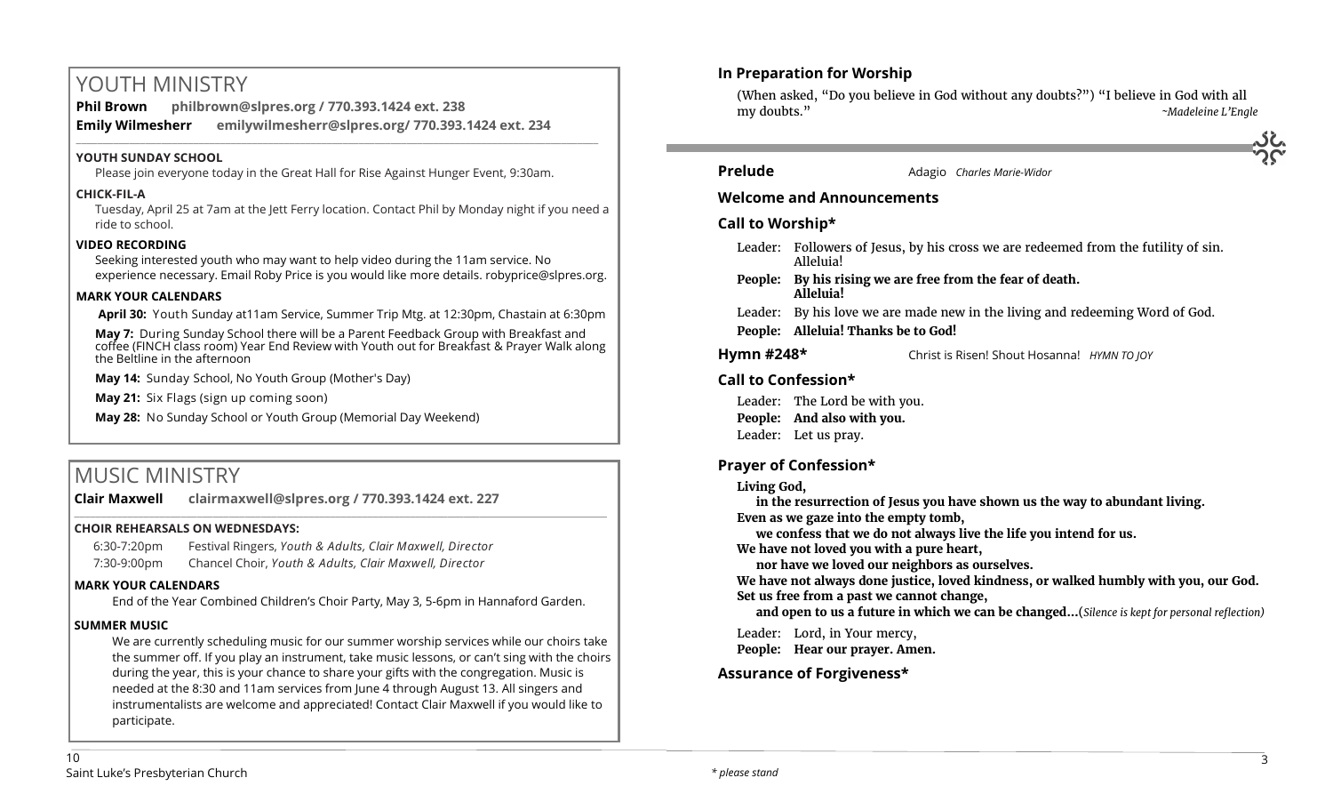# YOUTH MINISTRY

**Phil Brown philbrown@slpres.org / 770.393.1424 ext. 238 Emily Wilmesherr emilywilmesherr@slpres.org/ 770.393.1424 ext. 234**   $\_$  ,  $\_$  ,  $\_$  ,  $\_$  ,  $\_$  ,  $\_$  ,  $\_$  ,  $\_$  ,  $\_$  ,  $\_$  ,  $\_$  ,  $\_$  ,  $\_$  ,  $\_$  ,  $\_$  ,  $\_$  ,  $\_$  ,  $\_$  ,  $\_$  ,  $\_$  ,  $\_$  ,  $\_$  ,  $\_$  ,  $\_$  ,  $\_$  ,  $\_$  ,  $\_$  ,  $\_$  ,  $\_$  ,  $\_$  ,  $\_$  ,  $\_$  ,  $\_$  ,  $\_$  ,  $\_$  ,  $\_$  ,  $\_$  ,

## **YOUTH SUNDAY SCHOOL**

Please join everyone today in the Great Hall for Rise Against Hunger Event, 9:30am.

#### **CHICK-FIL-A**

Tuesday, April 25 at 7am at the Jett Ferry location. Contact Phil by Monday night if you need a ride to school.

## **VIDEO RECORDING**

Seeking interested youth who may want to help video during the 11am service. No experience necessary. Email Roby Price is you would like more details. robyprice@slpres.org.

#### **MARK YOUR CALENDARS**

**April 30:** Youth Sunday at11am Service, Summer Trip Mtg. at 12:30pm, Chastain at 6:30pm

**May 7:** During Sunday School there will be a Parent Feedback Group with Breakfast and coffee (FINCH class room) Year End Review with Youth out for Breakfast & Prayer Walk along the Beltline in the afternoon

**May 14:** Sunday School, No Youth Group (Mother's Day)

**May 21:** Six Flags (sign up coming soon)

**May 28:** No Sunday School or Youth Group (Memorial Day Weekend)

# MUSIC MINISTRY

**Clair Maxwell clairmaxwell@slpres.org / 770.393.1424 ext. 227** 

## **CHOIR REHEARSALS ON WEDNESDAYS:**

6:30-7:20pm Festival Ringers, *Youth & Adults, Clair Maxwell, Director* 7:30-9:00pm Chancel Choir, *Youth & Adults, Clair Maxwell, Director* 

## **MARK YOUR CALENDARS**

End of the Year Combined Children's Choir Party, May 3, 5-6pm in Hannaford Garden.

\_\_\_\_\_\_\_\_\_\_\_\_\_\_\_\_\_\_\_\_\_\_\_\_\_\_\_\_\_\_\_\_\_\_\_\_\_\_\_\_\_\_\_\_\_\_\_\_\_\_\_\_\_\_\_\_\_\_\_\_\_\_\_\_\_\_\_\_\_\_\_\_\_\_\_\_\_\_\_\_\_\_\_\_\_\_\_\_\_\_\_\_\_\_\_\_\_\_\_\_

## **SUMMER MUSIC**

We are currently scheduling music for our summer worship services while our choirs take the summer off. If you play an instrument, take music lessons, or can't sing with the choirs during the year, this is your chance to share your gifts with the congregation. Music is needed at the 8:30 and 11am services from June 4 through August 13. All singers and instrumentalists are welcome and appreciated! Contact Clair Maxwell if you would like to participate.

## **In Preparation for Worship**

(When asked, "Do you believe in God without any doubts?") "I believe in God with all my doubts." *~Madeleine L'Engle*



## **Prelude** Adagio *Charles Marie-Widor*

## **Welcome and Announcements**

## **Call to Worship\***

- Leader: Followers of Jesus, by his cross we are redeemed from the futility of sin. Alleluia!
- **People: By his rising we are free from the fear of death. Alleluia!**
- Leader: By his love we are made new in the living and redeeming Word of God.
- **People: Alleluia! Thanks be to God!**

**Hymn #248\*** Christ is Risen! Shout Hosanna! *HYMN TO JOY*

## **Call to Confession\***

Leader: The Lord be with you. **People: And also with you.** Leader: Let us pray.

## **Prayer of Confession\***

## **Living God,**

**in the resurrection of Jesus you have shown us the way to abundant living. Even as we gaze into the empty tomb,**

**we confess that we do not always live the life you intend for us.**

**We have not loved you with a pure heart,**

**nor have we loved our neighbors as ourselves.**

**We have not always done justice, loved kindness, or walked humbly with you, our God. Set us free from a past we cannot change,**

**and open to us a future in which we can be changed…**(*Silence is kept for personal reflection)*

Leader: Lord, in Your mercy,

**People: Hear our prayer. Amen.**

## **Assurance of Forgiveness\***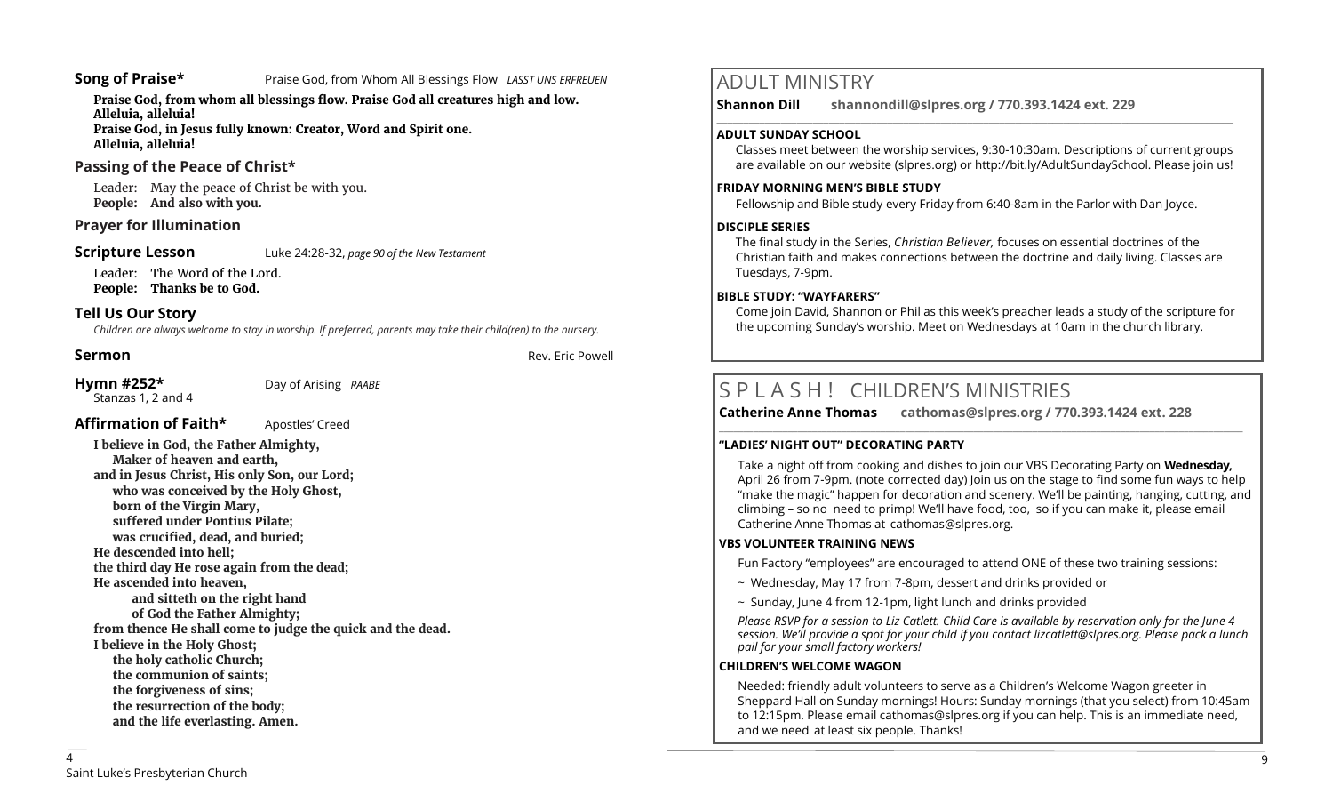**Song of Praise\*** Praise God, from Whom All Blessings Flow *LASST UNS ERFREUEN* 

**Praise God, from whom all blessings flow. Praise God all creatures high and low. Alleluia, alleluia! Praise God, in Jesus fully known: Creator, Word and Spirit one.** 

**Alleluia, alleluia!** 

## **Passing of the Peace of Christ\***

Leader: May the peace of Christ be with you. **People: And also with you.**

#### **Prayer for Illumination**

**Scripture Lesson** Luke 24:28-32, *page 90 of the New Testament* 

Leader: The Word of the Lord. **People: Thanks be to God.**

## **Tell Us Our Story**

*Children are always welcome to stay in worship. If preferred, parents may take their child(ren) to the nursery.*

**Sermon** Rev. Eric Powell **Sermon** 

#### **Hymn #252\*** Day of Arising *RAABE*

Stanzas 1, 2 and 4

## **Affirmation of Faith\*** Apostles' Creed

**I believe in God, the Father Almighty, Maker of heaven and earth, and in Jesus Christ, His only Son, our Lord; who was conceived by the Holy Ghost, born of the Virgin Mary, suffered under Pontius Pilate; was crucified, dead, and buried; He descended into hell; the third day He rose again from the dead; He ascended into heaven, and sitteth on the right hand of God the Father Almighty; from thence He shall come to judge the quick and the dead. I believe in the Holy Ghost; the holy catholic Church; the communion of saints; the forgiveness of sins; the resurrection of the body; and the life everlasting. Amen.**

# ADULT MINISTRY

**Shannon Dill shannondill@slpres.org / 770.393.1424 ext. 229** 

#### **ADULT SUNDAY SCHOOL**

Classes meet between the worship services, 9:30-10:30am. Descriptions of current groups are available on our website (slpres.org) or http://bit.ly/AdultSundaySchool. Please join us!

 $\_$  ,  $\_$  ,  $\_$  ,  $\_$  ,  $\_$  ,  $\_$  ,  $\_$  ,  $\_$  ,  $\_$  ,  $\_$  ,  $\_$  ,  $\_$  ,  $\_$  ,  $\_$  ,  $\_$  ,  $\_$  ,  $\_$  ,  $\_$  ,  $\_$ 

#### **FRIDAY MORNING MEN'S BIBLE STUDY**

Fellowship and Bible study every Friday from 6:40-8am in the Parlor with Dan Joyce.

#### **DISCIPLE SERIES**

The final study in the Series, *Christian Believer,* focuses on essential doctrines of the Christian faith and makes connections between the doctrine and daily living. Classes are Tuesdays, 7-9pm.

#### **BIBLE STUDY: "WAYFARERS"**

Come join David, Shannon or Phil as this week's preacher leads a study of the scripture for the upcoming Sunday's worship. Meet on Wednesdays at 10am in the church library.

**\_\_\_\_\_\_\_\_\_\_\_\_\_\_\_\_\_\_\_\_\_\_\_\_\_\_\_\_\_\_\_\_\_\_\_\_\_\_\_\_\_\_\_\_\_\_\_\_\_\_\_\_\_\_\_\_\_\_\_\_\_\_\_\_\_\_\_\_\_\_\_\_\_\_\_\_\_\_\_\_\_\_\_\_\_\_\_\_\_\_\_\_\_\_\_\_\_\_\_\_\_\_\_\_\_\_\_** 

# S P L A S H ! CHILDREN'S MINISTRIES

**Catherine Anne Thomas cathomas@slpres.org / 770.393.1424 ext. 228** 

#### **"LADIES' NIGHT OUT" DECORATING PARTY**

Take a night off from cooking and dishes to join our VBS Decorating Party on **Wednesday,**  April 26 from 7-9pm. (note corrected day) Join us on the stage to find some fun ways to help "make the magic" happen for decoration and scenery. We'll be painting, hanging, cutting, and climbing – so no need to primp! We'll have food, too, so if you can make it, please email Catherine Anne Thomas at cathomas@slpres.org.

#### **VBS VOLUNTEER TRAINING NEWS**

Fun Factory "employees" are encouraged to attend ONE of these two training sessions:

- ~ Wednesday, May 17 from 7-8pm, dessert and drinks provided or
- $\sim$  Sunday, June 4 from 12-1pm, light lunch and drinks provided

*Please RSVP for a session to Liz Catlett. Child Care is available by reservation only for the June 4 session. We'll provide a spot for your child if you contact [lizcatlett@slpres.org.](mailto:lizcatlett@slpres.org) Please pack a lunch pail for your small factory workers!*

## **CHILDREN'S WELCOME WAGON**

Needed: friendly adult volunteers to serve as a Children's Welcome Wagon greeter in Sheppard Hall on Sunday mornings! Hours: Sunday mornings (that you select) from 10:45am to 12:15pm. Please email [cathomas@slpres.org](mailto:cathomas@slpres.org) if you can help. This is an immediate need, and we need at least six people. Thanks!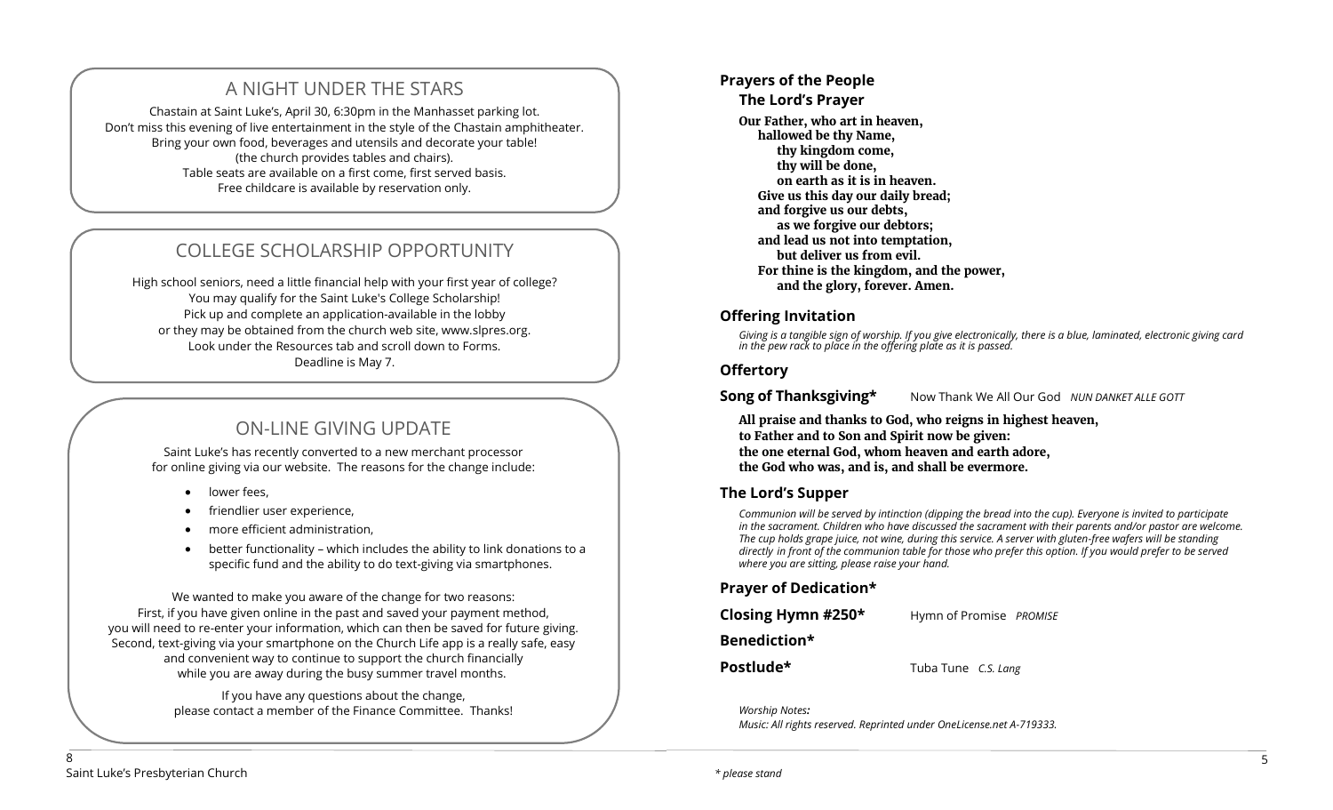# A NIGHT UNDER THE STARS

Chastain at Saint Luke's, April 30, 6:30pm in the Manhasset parking lot. Don't miss this evening of live entertainment in the style of the Chastain amphitheater. Bring your own food, beverages and utensils and decorate your table! (the church provides tables and chairs). Table seats are available on a first come, first served basis. Free childcare is available by reservation only.

# COLLEGE SCHOLARSHIP OPPORTUNITY

High school seniors, need a little financial help with your first year of college? You may qualify for the Saint Luke's College Scholarship! Pick up and complete an application-available in the lobby or they may be obtained from the church web site, www.slpres.org. Look under the Resources tab and scroll down to Forms. Deadline is May 7.

# ON-LINE GIVING UPDATE

Saint Luke's has recently converted to a new merchant processor for online giving via our website. The reasons for the change include:

- lower fees,
- friendlier user experience,
- more efficient administration,
- better functionality which includes the ability to link donations to a specific fund and the ability to do text-giving via smartphones.

We wanted to make you aware of the change for two reasons: First, if you have given online in the past and saved your payment method, you will need to re-enter your information, which can then be saved for future giving. Second, text-giving via your smartphone on the Church Life app is a really safe, easy and convenient way to continue to support the church financially while you are away during the busy summer travel months.

> If you have any questions about the change, please contact a member of the Finance Committee. Thanks!

## **Prayers of the People**

## **The Lord's Prayer**

**Our Father, who art in heaven, hallowed be thy Name, thy kingdom come, thy will be done, on earth as it is in heaven. Give us this day our daily bread; and forgive us our debts, as we forgive our debtors; and lead us not into temptation, but deliver us from evil. For thine is the kingdom, and the power, and the glory, forever. Amen.**

## **Offering Invitation**

*Giving is a tangible sign of worship. If you give electronically, there is a blue, laminated, electronic giving card in the pew rack to place in the offering plate as it is passed.*

## **Offertory**

**Song of Thanksgiving\*** Now Thank We All Our God *NUN DANKET ALLE GOTT* 

**All praise and thanks to God, who reigns in highest heaven, to Father and to Son and Spirit now be given: the one eternal God, whom heaven and earth adore, the God who was, and is, and shall be evermore.** 

## **The Lord's Supper**

*Communion will be served by intinction (dipping the bread into the cup). Everyone is invited to participate in the sacrament. Children who have discussed the sacrament with their parents and/or pastor are welcome. The cup holds grape juice, not wine, during this service. A server with gluten-free wafers will be standing directly in front of the communion table for those who prefer this option. If you would prefer to be served where you are sitting, please raise your hand.* 

## **Prayer of Dedication\***

| Closing Hymn #250* | Hymn of Promise PROMISE |  |
|--------------------|-------------------------|--|
| Benediction*       |                         |  |

**Postlude\*** Tuba Tune *C.S. Lang*

*Worship Notes: Music: All rights reserved. Reprinted under OneLicense.net A-719333.*